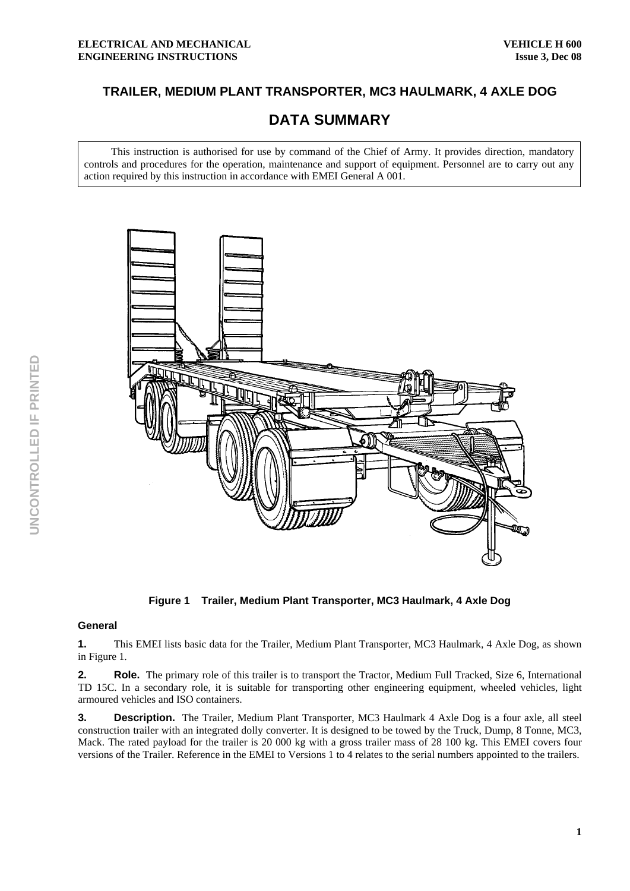# **TRAILER, MEDIUM PLANT TRANSPORTER, MC3 HAULMARK, 4 AXLE DOG**

# **DATA SUMMARY**

This instruction is authorised for use by command of the Chief of Army. It provides direction, mandatory controls and procedures for the operation, maintenance and support of equipment. Personnel are to carry out any action required by this instruction in accordance with EMEI General A 001.



**Figure 1 Trailer, Medium Plant Transporter, MC3 Haulmark, 4 Axle Dog** 

### **General**

**1.** This EMEI lists basic data for the Trailer, Medium Plant Transporter, MC3 Haulmark, 4 Axle Dog, as shown in Figure 1.

**2.** Role. The primary role of this trailer is to transport the Tractor, Medium Full Tracked, Size 6, International TD 15C. In a secondary role, it is suitable for transporting other engineering equipment, wheeled vehicles, light armoured vehicles and ISO containers.

**3. Description.** The Trailer, Medium Plant Transporter, MC3 Haulmark 4 Axle Dog is a four axle, all steel construction trailer with an integrated dolly converter. It is designed to be towed by the Truck, Dump, 8 Tonne, MC3, Mack. The rated payload for the trailer is 20 000 kg with a gross trailer mass of 28 100 kg. This EMEI covers four versions of the Trailer. Reference in the EMEI to Versions 1 to 4 relates to the serial numbers appointed to the trailers.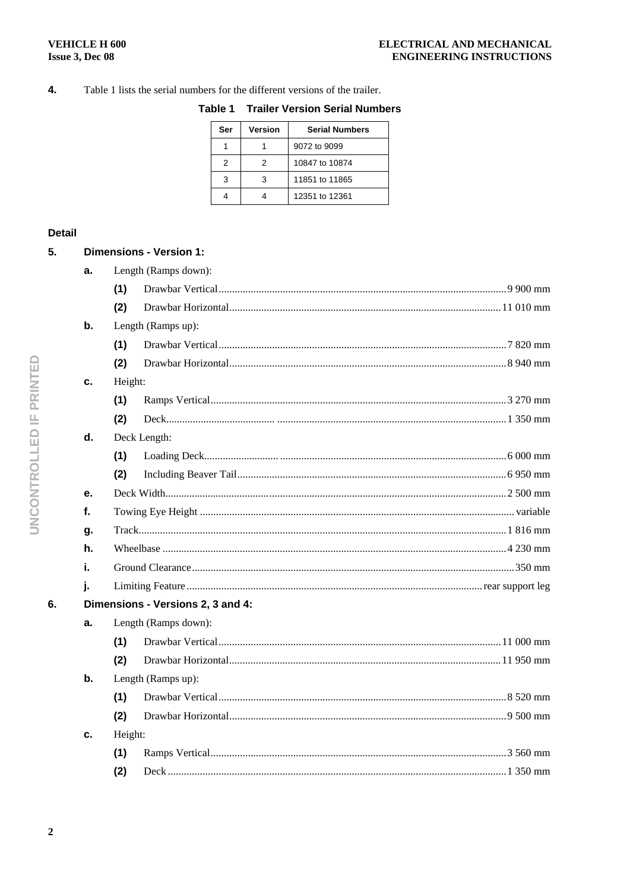#### $\overline{4}$ . Table 1 lists the serial numbers for the different versions of the trailer.

|  |  | Table 1 Trailer Version Serial Numbers |
|--|--|----------------------------------------|
|  |  |                                        |

| Ser | Version | <b>Serial Numbers</b> |
|-----|---------|-----------------------|
|     |         | 9072 to 9099          |
| 2   | 2       | 10847 to 10874        |
| 3   | 3       | 11851 to 11865        |
|     |         | 12351 to 12361        |

# **Detail**

 $5.$ 

|    |                      | Dimensions - Version 1:           |  |  |  |  |
|----|----------------------|-----------------------------------|--|--|--|--|
| a. | Length (Ramps down): |                                   |  |  |  |  |
|    | (1)                  |                                   |  |  |  |  |
|    | (2)                  |                                   |  |  |  |  |
| b. | Length (Ramps up):   |                                   |  |  |  |  |
|    | (1)                  |                                   |  |  |  |  |
|    | (2)                  |                                   |  |  |  |  |
| c. | Height:              |                                   |  |  |  |  |
|    | (1)                  |                                   |  |  |  |  |
|    | (2)                  |                                   |  |  |  |  |
| d. |                      | Deck Length:                      |  |  |  |  |
|    | (1)                  |                                   |  |  |  |  |
|    | (2)                  |                                   |  |  |  |  |
| е. |                      |                                   |  |  |  |  |
| f. |                      |                                   |  |  |  |  |
| g. |                      |                                   |  |  |  |  |
| h. |                      |                                   |  |  |  |  |
| i. |                      |                                   |  |  |  |  |
| ī. |                      |                                   |  |  |  |  |
|    |                      | Dimensions - Versions 2, 3 and 4: |  |  |  |  |
| а. |                      | Length (Ramps down):              |  |  |  |  |
|    | (1)                  |                                   |  |  |  |  |
|    | (2)                  |                                   |  |  |  |  |
| b. | Length (Ramps up):   |                                   |  |  |  |  |
|    | (1)                  |                                   |  |  |  |  |
|    | (2)                  |                                   |  |  |  |  |
| c. | Height:              |                                   |  |  |  |  |
|    | (1)                  |                                   |  |  |  |  |
|    | (2)                  |                                   |  |  |  |  |
|    |                      |                                   |  |  |  |  |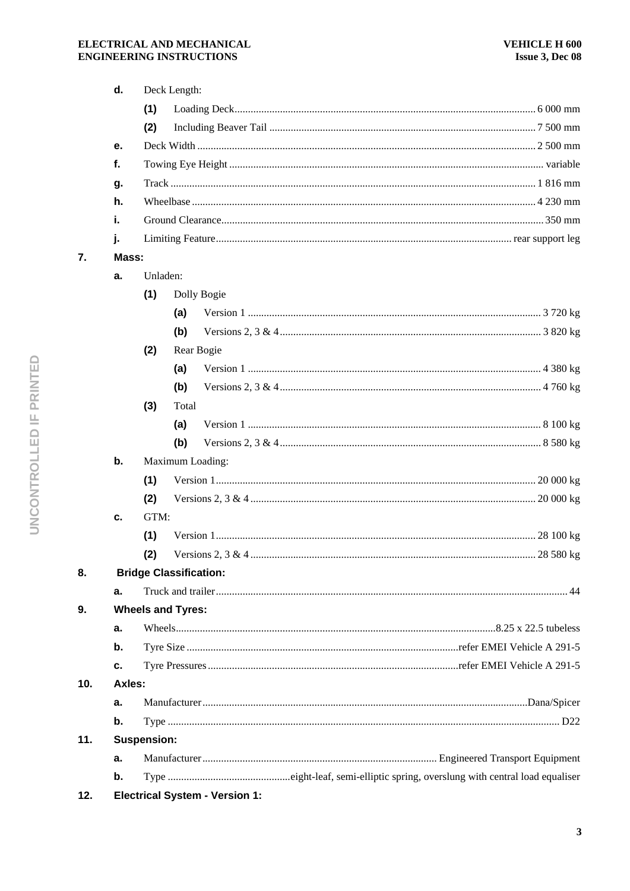|                                | d.     | Deck Length:       |                                       |  |  |  |
|--------------------------------|--------|--------------------|---------------------------------------|--|--|--|
|                                |        | (1)                |                                       |  |  |  |
|                                |        | (2)                |                                       |  |  |  |
|                                | е.     |                    |                                       |  |  |  |
| f.                             |        |                    |                                       |  |  |  |
|                                | g.     |                    |                                       |  |  |  |
|                                | h.     |                    |                                       |  |  |  |
|                                | i.     |                    |                                       |  |  |  |
|                                | j.     |                    |                                       |  |  |  |
| 7.                             |        | Mass:              |                                       |  |  |  |
|                                | a.     | Unladen:           |                                       |  |  |  |
|                                |        | (1)                | Dolly Bogie                           |  |  |  |
|                                |        |                    | (a)                                   |  |  |  |
|                                |        |                    | (b)                                   |  |  |  |
|                                |        | (2)                | Rear Bogie                            |  |  |  |
|                                |        |                    | (a)                                   |  |  |  |
|                                |        |                    | (b)                                   |  |  |  |
|                                |        | (3)                | Total                                 |  |  |  |
|                                |        |                    | (a)                                   |  |  |  |
|                                |        |                    | (b)                                   |  |  |  |
|                                | b.     |                    | Maximum Loading:                      |  |  |  |
|                                |        | (1)                |                                       |  |  |  |
|                                |        | (2)                |                                       |  |  |  |
|                                | c.     | GTM:               |                                       |  |  |  |
|                                |        | (1)                |                                       |  |  |  |
|                                |        | (2)                |                                       |  |  |  |
| 8.                             |        |                    | <b>Bridge Classification:</b>         |  |  |  |
|                                | a.     |                    |                                       |  |  |  |
| <b>Wheels and Tyres:</b><br>9. |        |                    |                                       |  |  |  |
|                                | a.     |                    |                                       |  |  |  |
|                                | b.     |                    |                                       |  |  |  |
|                                | c.     |                    |                                       |  |  |  |
| 10.                            | Axles: |                    |                                       |  |  |  |
|                                | a.     |                    |                                       |  |  |  |
|                                | b.     |                    |                                       |  |  |  |
| 11.                            |        | <b>Suspension:</b> |                                       |  |  |  |
|                                | a.     |                    |                                       |  |  |  |
|                                | b.     |                    |                                       |  |  |  |
| 12.                            |        |                    | <b>Electrical System - Version 1:</b> |  |  |  |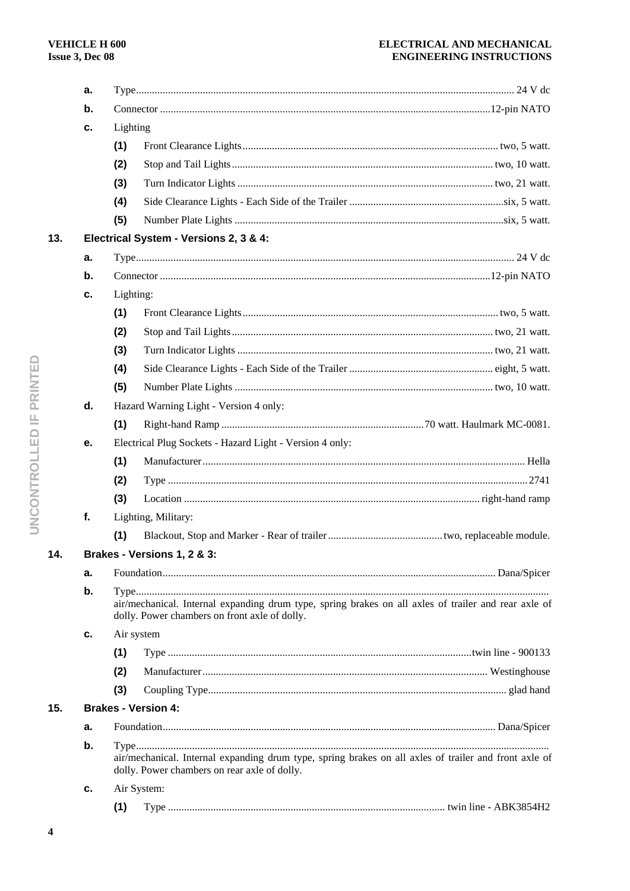# ELECTRICAL AND MECHANICAL **ENGINEERING INSTRUCTIONS**

|     | а. |                                                                                                                                                       |                                                                                                                                                       |  |  |  |
|-----|----|-------------------------------------------------------------------------------------------------------------------------------------------------------|-------------------------------------------------------------------------------------------------------------------------------------------------------|--|--|--|
|     | b. |                                                                                                                                                       |                                                                                                                                                       |  |  |  |
|     | c. | Lighting                                                                                                                                              |                                                                                                                                                       |  |  |  |
|     |    | (1)                                                                                                                                                   |                                                                                                                                                       |  |  |  |
|     |    | (2)                                                                                                                                                   |                                                                                                                                                       |  |  |  |
|     |    | (3)                                                                                                                                                   |                                                                                                                                                       |  |  |  |
|     |    | (4)                                                                                                                                                   |                                                                                                                                                       |  |  |  |
|     |    | (5)                                                                                                                                                   |                                                                                                                                                       |  |  |  |
| 13. |    |                                                                                                                                                       | Electrical System - Versions 2, 3 & 4:                                                                                                                |  |  |  |
|     | а. |                                                                                                                                                       |                                                                                                                                                       |  |  |  |
|     | b. |                                                                                                                                                       |                                                                                                                                                       |  |  |  |
|     | с. | Lighting:                                                                                                                                             |                                                                                                                                                       |  |  |  |
|     |    | (1)                                                                                                                                                   |                                                                                                                                                       |  |  |  |
|     |    | (2)                                                                                                                                                   |                                                                                                                                                       |  |  |  |
|     |    | (3)                                                                                                                                                   |                                                                                                                                                       |  |  |  |
|     |    | (4)                                                                                                                                                   |                                                                                                                                                       |  |  |  |
|     |    | (5)                                                                                                                                                   |                                                                                                                                                       |  |  |  |
|     | d. |                                                                                                                                                       | Hazard Warning Light - Version 4 only:                                                                                                                |  |  |  |
|     |    | (1)                                                                                                                                                   |                                                                                                                                                       |  |  |  |
|     | е. |                                                                                                                                                       | Electrical Plug Sockets - Hazard Light - Version 4 only:                                                                                              |  |  |  |
|     |    | (1)                                                                                                                                                   |                                                                                                                                                       |  |  |  |
|     |    | (2)                                                                                                                                                   |                                                                                                                                                       |  |  |  |
|     |    | (3)                                                                                                                                                   |                                                                                                                                                       |  |  |  |
|     | f. |                                                                                                                                                       | Lighting, Military:                                                                                                                                   |  |  |  |
|     |    | (1)                                                                                                                                                   |                                                                                                                                                       |  |  |  |
| 14. |    |                                                                                                                                                       | Brakes - Versions 1, 2 & 3:                                                                                                                           |  |  |  |
|     | а. |                                                                                                                                                       |                                                                                                                                                       |  |  |  |
|     | b. | air/mechanical. Internal expanding drum type, spring brakes on all axles of trailer and rear axle of<br>dolly. Power chambers on front axle of dolly. |                                                                                                                                                       |  |  |  |
|     | c. |                                                                                                                                                       | Air system                                                                                                                                            |  |  |  |
|     |    | (1)                                                                                                                                                   |                                                                                                                                                       |  |  |  |
|     |    | (2)                                                                                                                                                   |                                                                                                                                                       |  |  |  |
|     |    | (3)                                                                                                                                                   |                                                                                                                                                       |  |  |  |
| 15. |    |                                                                                                                                                       | <b>Brakes - Version 4:</b>                                                                                                                            |  |  |  |
|     | а. |                                                                                                                                                       |                                                                                                                                                       |  |  |  |
|     | b. |                                                                                                                                                       | air/mechanical. Internal expanding drum type, spring brakes on all axles of trailer and front axle of<br>dolly. Power chambers on rear axle of dolly. |  |  |  |
|     | c. |                                                                                                                                                       | Air System:                                                                                                                                           |  |  |  |
|     |    | (1)                                                                                                                                                   |                                                                                                                                                       |  |  |  |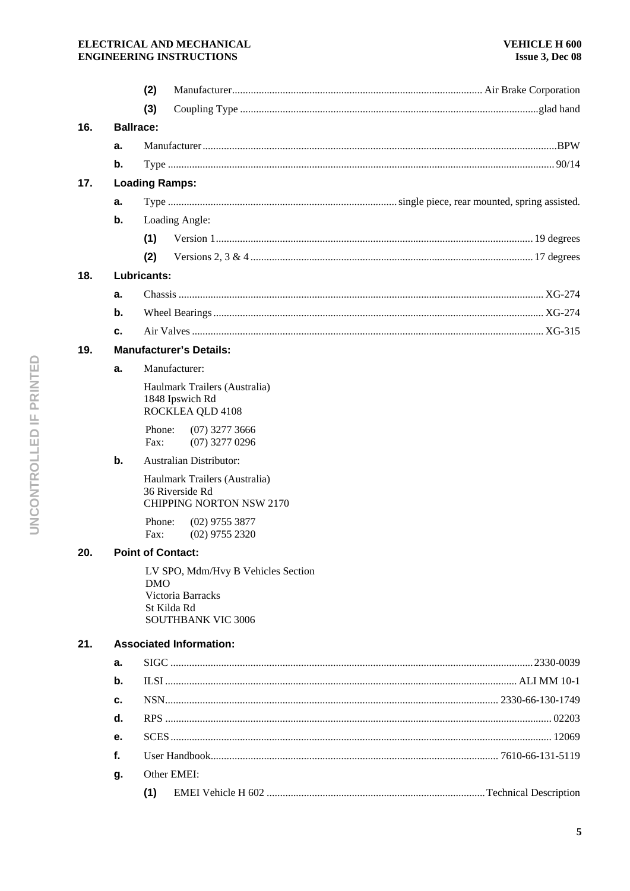# ELECTRICAL AND MECHANICAL **ENGINEERING INSTRUCTIONS**

|     |                  | (2)                                                                                                        |  |
|-----|------------------|------------------------------------------------------------------------------------------------------------|--|
|     |                  | (3)                                                                                                        |  |
| 16. | <b>Ballrace:</b> |                                                                                                            |  |
|     | а.               |                                                                                                            |  |
|     | b.               |                                                                                                            |  |
| 17. |                  | <b>Loading Ramps:</b>                                                                                      |  |
|     | а.               |                                                                                                            |  |
|     | b.               | Loading Angle:                                                                                             |  |
|     |                  | (1)                                                                                                        |  |
|     |                  | (2)                                                                                                        |  |
| 18. |                  | Lubricants:                                                                                                |  |
|     | a.               |                                                                                                            |  |
|     | b.               |                                                                                                            |  |
|     | c.               |                                                                                                            |  |
| 19. |                  | <b>Manufacturer's Details:</b>                                                                             |  |
|     | а.               | Manufacturer:                                                                                              |  |
|     |                  | Haulmark Trailers (Australia)<br>1848 Ipswich Rd<br>ROCKLEA QLD 4108                                       |  |
|     |                  | Phone:<br>$(07)$ 3277 3666<br>$(07)$ 3277 0296<br>Fax:                                                     |  |
|     | b.               | <b>Australian Distributor:</b>                                                                             |  |
|     |                  | Haulmark Trailers (Australia)<br>36 Riverside Rd<br><b>CHIPPING NORTON NSW 2170</b>                        |  |
|     |                  | Phone:<br>$(02)$ 9755 3877<br>Fax:<br>$(02)$ 9755 2320                                                     |  |
| 20. |                  | <b>Point of Contact:</b>                                                                                   |  |
|     |                  | LV SPO, Mdm/Hvy B Vehicles Section<br>DMO<br>Victoria Barracks<br>St Kilda Rd<br><b>SOUTHBANK VIC 3006</b> |  |
| 21. |                  | <b>Associated Information:</b>                                                                             |  |
|     | a.               |                                                                                                            |  |
|     | b.               |                                                                                                            |  |
|     | с.               |                                                                                                            |  |
|     | d.               |                                                                                                            |  |
|     | е.               |                                                                                                            |  |
|     | f.               |                                                                                                            |  |
|     | g.               | Other EMEI:                                                                                                |  |
|     |                  | (1)                                                                                                        |  |